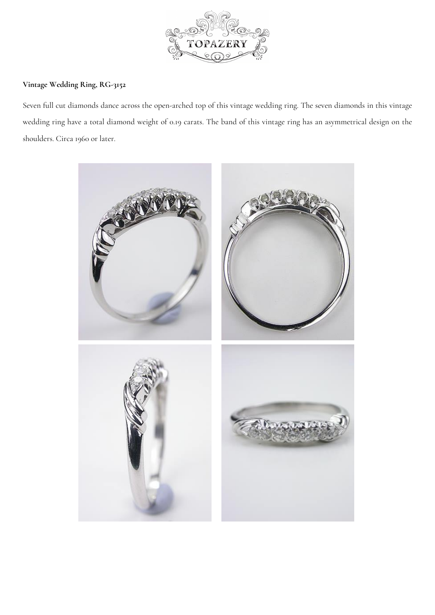

## **Vintage Wedding Ring, RG-3152**

Seven full cut diamonds dance across the open-arched top of this vintage wedding ring. The seven diamonds in this vintage wedding ring have a total diamond weight of 0.19 carats. The band of this vintage ring has an asymmetrical design on the shoulders. Circa 1960 or later.

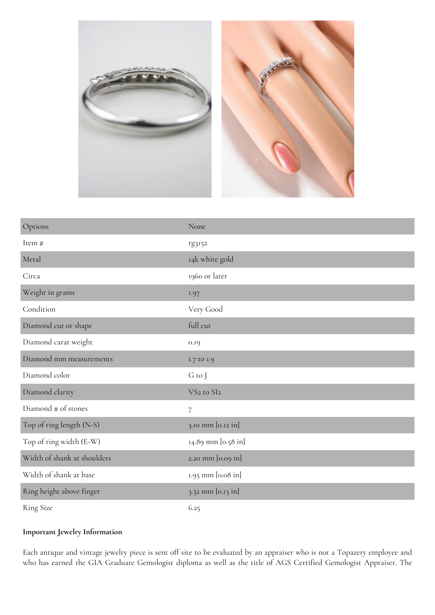

| Options                     | None                               |
|-----------------------------|------------------------------------|
| Item #                      | rg3152                             |
| Metal                       | 14k white gold                     |
| Circa                       | 1960 or later                      |
| Weight in grams             | 1.97                               |
| Condition                   | Very Good                          |
| Diamond cut or shape        | full cut                           |
| Diamond carat weight        | 0.19                               |
| Diamond mm measurements     | 1.7 to 1.9                         |
| Diamond color               | G to J                             |
| Diamond clarity             | VS <sub>2</sub> to SI <sub>2</sub> |
| Diamond # of stones         | $\overline{7}$                     |
| Top of ring length (N-S)    | 3.10 mm [0.12 in]                  |
| Top of ring width (E-W)     | 14.89 mm [0.58 in]                 |
| Width of shank at shoulders | 2.20 mm [0.09 in]                  |
| Width of shank at base      | 1.95 mm [0.08 in]                  |
| Ring height above finger    | 3.32 mm [0.13 in]                  |
| <b>Ring Size</b>            | 6.25                               |

## **Important Jewelry Information**

Each antique and vintage jewelry piece is sent off site to be evaluated by an appraiser who is not a Topazery employee and who has earned the GIA Graduate Gemologist diploma as well as the title of AGS Certified Gemologist Appraiser. The